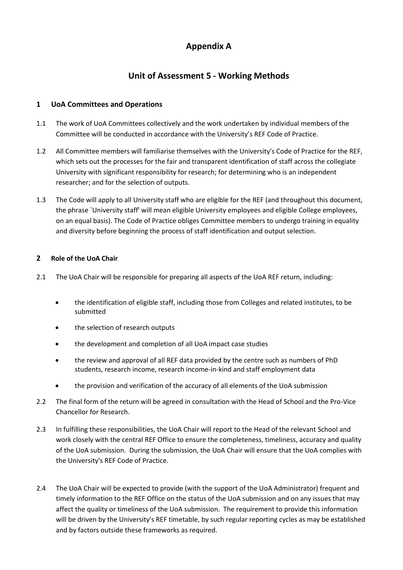# **Appendix A**

# **Unit of Assessment 5 - Working Methods**

# **1 UoA Committees and Operations**

- 1.1 The work of UoA Committees collectively and the work undertaken by individual members of the Committee will be conducted in accordance with the University's REF Code of Practice.
- 1.2 All Committee members will familiarise themselves with the University's Code of Practice for the REF, which sets out the processes for the fair and transparent identification of staff across the collegiate University with significant responsibility for research; for determining who is an independent researcher; and for the selection of outputs.
- 1.3 The Code will apply to all University staff who are eligible for the REF (and throughout this document, the phrase `University staff' will mean eligible University employees and eligible College employees, on an equal basis). The Code of Practice obliges Committee members to undergo training in equality and diversity before beginning the process of staff identification and output selection.

# **2 Role of the UoA Chair**

- 2.1 The UoA Chair will be responsible for preparing all aspects of the UoA REF return, including:
	- the identification of eligible staff, including those from Colleges and related institutes, to be submitted
	- the selection of research outputs
	- the development and completion of all UoA impact case studies
	- the review and approval of all REF data provided by the centre such as numbers of PhD students, research income, research income-in-kind and staff employment data
	- the provision and verification of the accuracy of all elements of the UoA submission
- 2.2 The final form of the return will be agreed in consultation with the Head of School and the Pro-Vice Chancellor for Research.
- 2.3 In fulfilling these responsibilities, the UoA Chair will report to the Head of the relevant School and work closely with the central REF Office to ensure the completeness, timeliness, accuracy and quality of the UoA submission. During the submission, the UoA Chair will ensure that the UoA complies with the University's REF Code of Practice.
- 2.4 The UoA Chair will be expected to provide (with the support of the UoA Administrator) frequent and timely information to the REF Office on the status of the UoA submission and on any issues that may affect the quality or timeliness of the UoA submission. The requirement to provide this information will be driven by the University's REF timetable, by such regular reporting cycles as may be established and by factors outside these frameworks as required.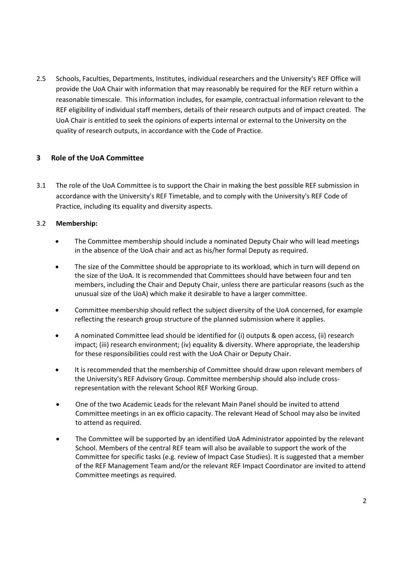2.5 Schools, Faculties, Departments, Institutes, individual researchers and the University's REF Office will provide the UoA Chair with information that may reasonably be required for the REF return within a reasonable timescale. This information includes, for example, contractual information relevant to the REF eligibility of individual staff members, details of their research outputs and of impact created. The UoA Chair is entitled to seek the opinions of experts internal or external to the University on the quality of research outputs, in accordance with the Code of Practice.

# **3 Role of the UoA Committee**

3.1 The role of the UoA Committee is to support the Chair in making the best possible REF submission in accordance with the University's REF Timetable, and to comply with the University's REF Code of Practice, including its equality and diversity aspects.

## 3.2 **Membership:**

- The Committee membership should include a nominated Deputy Chair who will lead meetings in the absence of the UoA chair and act as his/her formal Deputy as required.
- The size of the Committee should be appropriate to its workload, which in turn will depend on the size of the UoA. It is recommended that Committees should have between four and ten members, including the Chair and Deputy Chair, unless there are particular reasons (such as the unusual size of the UoA) which make it desirable to have a larger committee.
- Committee membership should reflect the subject diversity of the UoA concerned, for example reflecting the research group structure of the planned submission where it applies.
- A nominated Committee lead should be identified for (i) outputs & open access, (ii) research impact; (iii) research environment; (iv) equality & diversity. Where appropriate, the leadership for these responsibilities could rest with the UoA Chair or Deputy Chair.
- It is recommended that the membership of Committee should draw upon relevant members of the University's REF Advisory Group. Committee membership should also include crossrepresentation with the relevant School REF Working Group.
- One of the two Academic Leads for the relevant Main Panel should be invited to attend Committee meetings in an ex officio capacity. The relevant Head of School may also be invited to attend as required.
- The Committee will be supported by an identified UoA Administrator appointed by the relevant School. Members of the central REF team will also be available to support the work of the Committee for specific tasks (e.g. review of Impact Case Studies). It is suggested that a member of the REF Management Team and/or the relevant REF Impact Coordinator are invited to attend Committee meetings as required.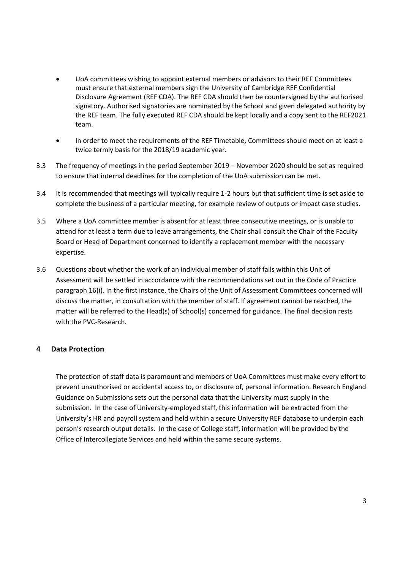- UoA committees wishing to appoint external members or advisors to their REF Committees must ensure that external members sign the University of Cambridge REF Confidential Disclosure Agreement (REF CDA). The REF CDA should then be countersigned by the authorised signatory. Authorised signatories are nominated by the School and given delegated authority by the REF team. The fully executed REF CDA should be kept locally and a copy sent to the REF2021 team.
- In order to meet the requirements of the REF Timetable, Committees should meet on at least a twice termly basis for the 2018/19 academic year.
- 3.3 The frequency of meetings in the period September 2019 November 2020 should be set as required to ensure that internal deadlines for the completion of the UoA submission can be met.
- 3.4 It is recommended that meetings will typically require 1-2 hours but that sufficient time is set aside to complete the business of a particular meeting, for example review of outputs or impact case studies.
- 3.5 Where a UoA committee member is absent for at least three consecutive meetings, or is unable to attend for at least a term due to leave arrangements, the Chair shall consult the Chair of the Faculty Board or Head of Department concerned to identify a replacement member with the necessary expertise.
- 3.6 Questions about whether the work of an individual member of staff falls within this Unit of Assessment will be settled in accordance with the recommendations set out in the Code of Practice paragraph 16(i). In the first instance, the Chairs of the Unit of Assessment Committees concerned will discuss the matter, in consultation with the member of staff. If agreement cannot be reached, the matter will be referred to the Head(s) of School(s) concerned for guidance. The final decision rests with the PVC-Research.

## **4 Data Protection**

The protection of staff data is paramount and members of UoA Committees must make every effort to prevent unauthorised or accidental access to, or disclosure of, personal information. Research England Guidance on Submissions sets out the personal data that the University must supply in the submission. In the case of University-employed staff, this information will be extracted from the University's HR and payroll system and held within a secure University REF database to underpin each person's research output details. In the case of College staff, information will be provided by the Office of Intercollegiate Services and held within the same secure systems.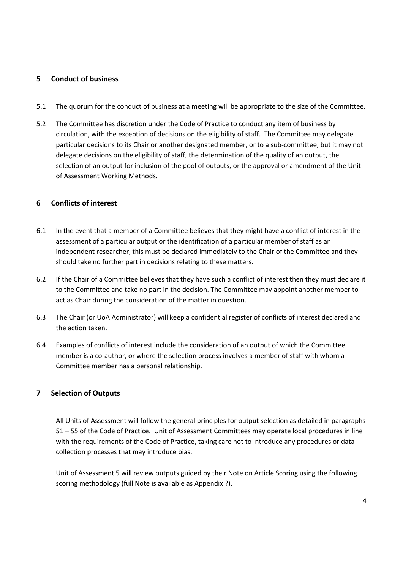#### **5 Conduct of business**

- 5.1 The quorum for the conduct of business at a meeting will be appropriate to the size of the Committee.
- 5.2 The Committee has discretion under the Code of Practice to conduct any item of business by circulation, with the exception of decisions on the eligibility of staff. The Committee may delegate particular decisions to its Chair or another designated member, or to a sub-committee, but it may not delegate decisions on the eligibility of staff, the determination of the quality of an output, the selection of an output for inclusion of the pool of outputs, or the approval or amendment of the Unit of Assessment Working Methods.

#### **6 Conflicts of interest**

- 6.1 In the event that a member of a Committee believes that they might have a conflict of interest in the assessment of a particular output or the identification of a particular member of staff as an independent researcher, this must be declared immediately to the Chair of the Committee and they should take no further part in decisions relating to these matters.
- 6.2 If the Chair of a Committee believes that they have such a conflict of interest then they must declare it to the Committee and take no part in the decision. The Committee may appoint another member to act as Chair during the consideration of the matter in question.
- 6.3 The Chair (or UoA Administrator) will keep a confidential register of conflicts of interest declared and the action taken.
- 6.4 Examples of conflicts of interest include the consideration of an output of which the Committee member is a co-author, or where the selection process involves a member of staff with whom a Committee member has a personal relationship.

## **7 Selection of Outputs**

All Units of Assessment will follow the general principles for output selection as detailed in paragraphs 51 – 55 of the Code of Practice. Unit of Assessment Committees may operate local procedures in line with the requirements of the Code of Practice, taking care not to introduce any procedures or data collection processes that may introduce bias.

Unit of Assessment 5 will review outputs guided by their Note on Article Scoring using the following scoring methodology (full Note is available as Appendix ?).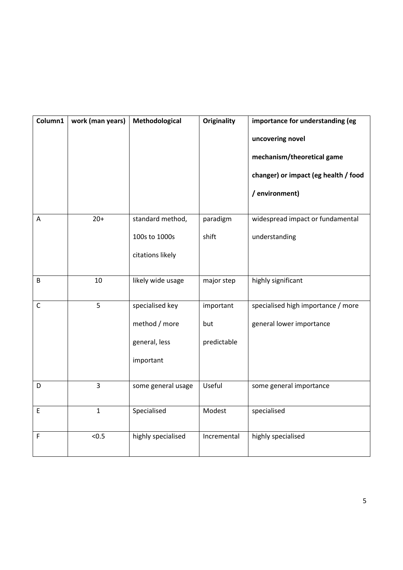| Column1      | work (man years) | Methodological                                                 | <b>Originality</b>              | importance for understanding (eg<br>uncovering novel<br>mechanism/theoretical game<br>changer) or impact (eg health / food<br>/ environment) |
|--------------|------------------|----------------------------------------------------------------|---------------------------------|----------------------------------------------------------------------------------------------------------------------------------------------|
|              | $20+$            |                                                                |                                 |                                                                                                                                              |
| A            |                  | standard method,<br>100s to 1000s<br>citations likely          | paradigm<br>shift               | widespread impact or fundamental<br>understanding                                                                                            |
| B            | 10               | likely wide usage                                              | major step                      | highly significant                                                                                                                           |
| $\mathsf{C}$ | 5                | specialised key<br>method / more<br>general, less<br>important | important<br>but<br>predictable | specialised high importance / more<br>general lower importance                                                                               |
| D            | 3                | some general usage                                             | Useful                          | some general importance                                                                                                                      |
| $\mathsf E$  | $\mathbf{1}$     | Specialised                                                    | Modest                          | specialised                                                                                                                                  |
| F            | < 0.5            | highly specialised                                             | Incremental                     | highly specialised                                                                                                                           |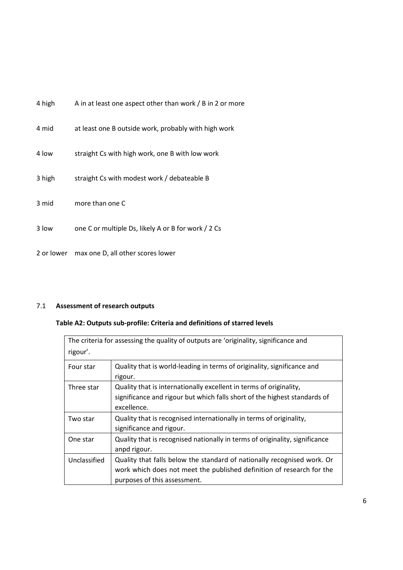| 4 high     | A in at least one aspect other than work / B in 2 or more |
|------------|-----------------------------------------------------------|
| 4 mid      | at least one B outside work, probably with high work      |
| 4 low      | straight Cs with high work, one B with low work           |
| 3 high     | straight Cs with modest work / debateable B               |
| 3 mid      | more than one C                                           |
| 3 low      | one C or multiple Ds, likely A or B for work / 2 Cs       |
| 2 or lower | max one D, all other scores lower                         |

# 7.1 **Assessment of research outputs**

# **Table A2: Outputs sub-profile: Criteria and definitions of starred levels**

| rigour'.     | The criteria for assessing the quality of outputs are 'originality, significance and                                                                                             |
|--------------|----------------------------------------------------------------------------------------------------------------------------------------------------------------------------------|
| Four star    | Quality that is world-leading in terms of originality, significance and<br>rigour.                                                                                               |
| Three star   | Quality that is internationally excellent in terms of originality,<br>significance and rigour but which falls short of the highest standards of<br>excellence.                   |
| Two star     | Quality that is recognised internationally in terms of originality,<br>significance and rigour.                                                                                  |
| One star     | Quality that is recognised nationally in terms of originality, significance<br>anpd rigour.                                                                                      |
| Unclassified | Quality that falls below the standard of nationally recognised work. Or<br>work which does not meet the published definition of research for the<br>purposes of this assessment. |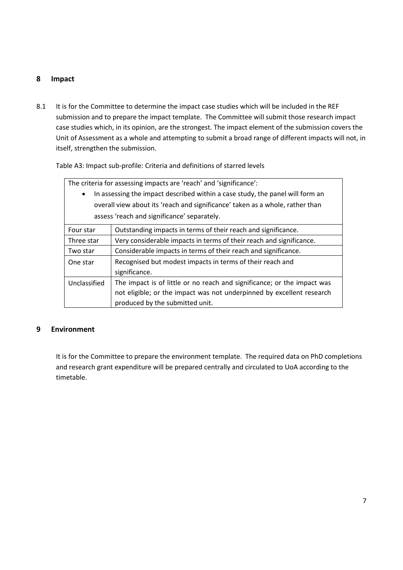# **8 Impact**

8.1 It is for the Committee to determine the impact case studies which will be included in the REF submission and to prepare the impact template. The Committee will submit those research impact case studies which, in its opinion, are the strongest. The impact element of the submission covers the Unit of Assessment as a whole and attempting to submit a broad range of different impacts will not, in itself, strengthen the submission.

Table A3: Impact sub-profile: Criteria and definitions of starred levels

| The criteria for assessing impacts are 'reach' and 'significance':            |                                                                         |  |
|-------------------------------------------------------------------------------|-------------------------------------------------------------------------|--|
| In assessing the impact described within a case study, the panel will form an |                                                                         |  |
| overall view about its 'reach and significance' taken as a whole, rather than |                                                                         |  |
| assess 'reach and significance' separately.                                   |                                                                         |  |
| Four star                                                                     | Outstanding impacts in terms of their reach and significance.           |  |
| Three star                                                                    | Very considerable impacts in terms of their reach and significance.     |  |
| Two star                                                                      | Considerable impacts in terms of their reach and significance.          |  |
| One star                                                                      | Recognised but modest impacts in terms of their reach and               |  |
|                                                                               | significance.                                                           |  |
| Unclassified                                                                  | The impact is of little or no reach and significance; or the impact was |  |
|                                                                               | not eligible; or the impact was not underpinned by excellent research   |  |
|                                                                               | produced by the submitted unit.                                         |  |

## **9 Environment**

It is for the Committee to prepare the environment template. The required data on PhD completions and research grant expenditure will be prepared centrally and circulated to UoA according to the timetable.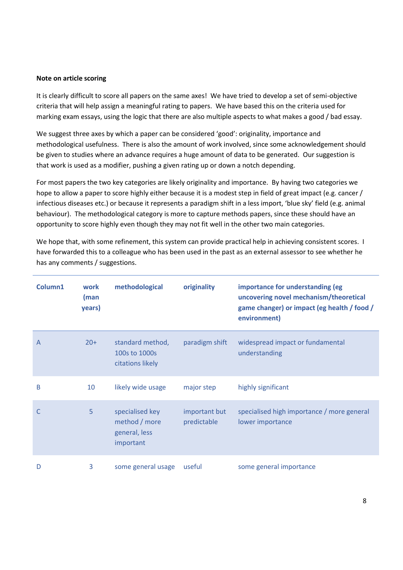#### **Note on article scoring**

It is clearly difficult to score all papers on the same axes! We have tried to develop a set of semi-objective criteria that will help assign a meaningful rating to papers. We have based this on the criteria used for marking exam essays, using the logic that there are also multiple aspects to what makes a good / bad essay.

We suggest three axes by which a paper can be considered 'good': originality, importance and methodological usefulness. There is also the amount of work involved, since some acknowledgement should be given to studies where an advance requires a huge amount of data to be generated. Our suggestion is that work is used as a modifier, pushing a given rating up or down a notch depending.

For most papers the two key categories are likely originality and importance. By having two categories we hope to allow a paper to score highly either because it is a modest step in field of great impact (e.g. cancer / infectious diseases etc.) or because it represents a paradigm shift in a less import, 'blue sky' field (e.g. animal behaviour). The methodological category is more to capture methods papers, since these should have an opportunity to score highly even though they may not fit well in the other two main categories.

We hope that, with some refinement, this system can provide practical help in achieving consistent scores. I have forwarded this to a colleague who has been used in the past as an external assessor to see whether he has any comments / suggestions.

| Column1        | work<br>(man<br>years) | methodological                                                 | originality                  | importance for understanding (eg<br>uncovering novel mechanism/theoretical<br>game changer) or impact (eg health / food /<br>environment) |
|----------------|------------------------|----------------------------------------------------------------|------------------------------|-------------------------------------------------------------------------------------------------------------------------------------------|
| $\overline{A}$ | $20+$                  | standard method,<br>100s to 1000s<br>citations likely          | paradigm shift               | widespread impact or fundamental<br>understanding                                                                                         |
| B              | 10                     | likely wide usage                                              | major step                   | highly significant                                                                                                                        |
| C              | 5                      | specialised key<br>method / more<br>general, less<br>important | important but<br>predictable | specialised high importance / more general<br>lower importance                                                                            |
| D              | 3                      | some general usage                                             | useful                       | some general importance                                                                                                                   |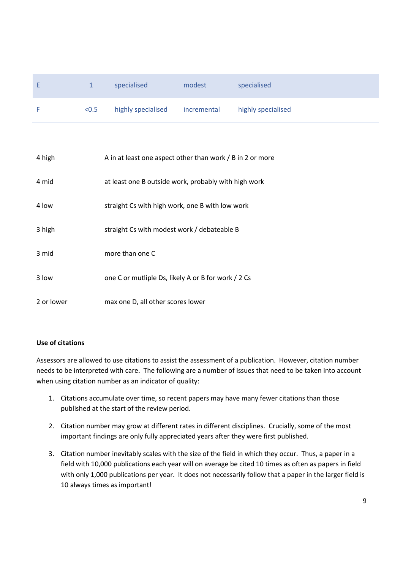| Ŀ |       | specialised        | modest      | specialised        |
|---|-------|--------------------|-------------|--------------------|
|   | < 0.5 | highly specialised | incremental | highly specialised |

| 4 high     | A in at least one aspect other than work / B in 2 or more |
|------------|-----------------------------------------------------------|
| 4 mid      | at least one B outside work, probably with high work      |
| 4 low      | straight Cs with high work, one B with low work           |
| 3 high     | straight Cs with modest work / debateable B               |
| 3 mid      | more than one C                                           |
| 3 low      | one C or mutliple Ds, likely A or B for work / 2 Cs       |
| 2 or lower | max one D, all other scores lower                         |

## **Use of citations**

Assessors are allowed to use citations to assist the assessment of a publication. However, citation number needs to be interpreted with care. The following are a number of issues that need to be taken into account when using citation number as an indicator of quality:

- 1. Citations accumulate over time, so recent papers may have many fewer citations than those published at the start of the review period.
- 2. Citation number may grow at different rates in different disciplines. Crucially, some of the most important findings are only fully appreciated years after they were first published.
- 3. Citation number inevitably scales with the size of the field in which they occur. Thus, a paper in a field with 10,000 publications each year will on average be cited 10 times as often as papers in field with only 1,000 publications per year. It does not necessarily follow that a paper in the larger field is 10 always times as important!